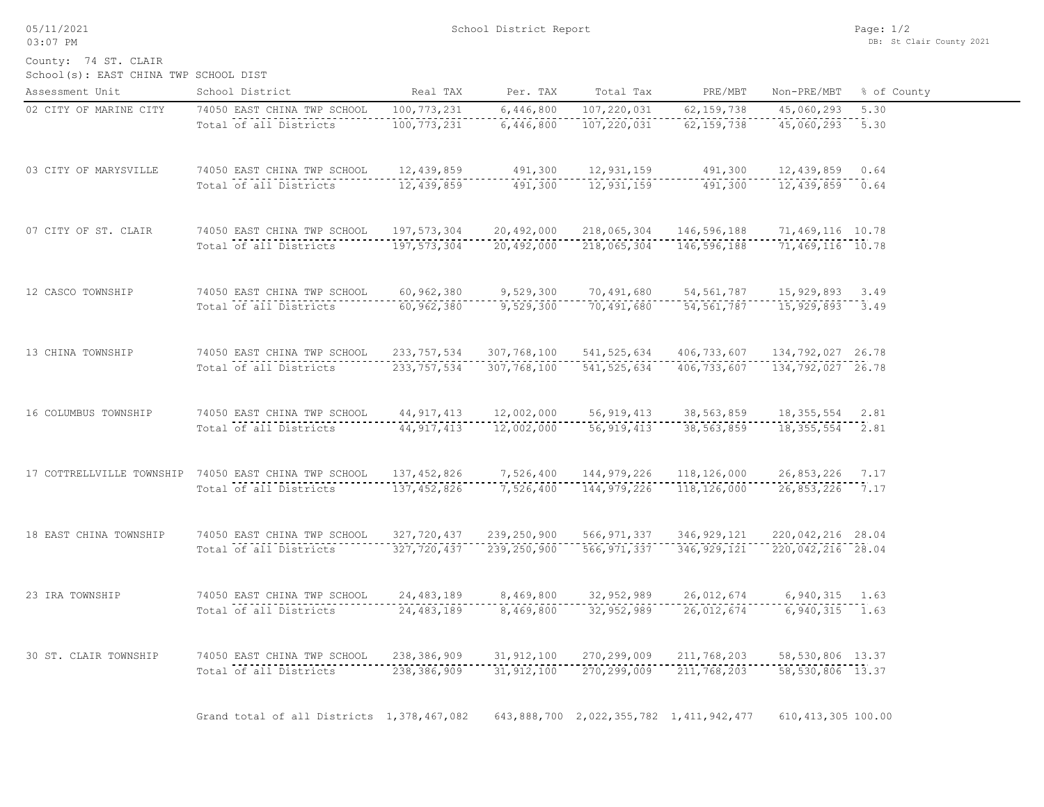05/11/2021 03:07 PM

School(s): EAST CHINA TWP SCHOOL DIST County: 74 ST. CLAIR

| Assessment Unit        | School District                                       | Real TAX      | Per. TAX      | Total Tax                               | PRE/MBT       | Non-PRE/MBT          | % of County |
|------------------------|-------------------------------------------------------|---------------|---------------|-----------------------------------------|---------------|----------------------|-------------|
| 02 CITY OF MARINE CITY | 74050 EAST CHINA TWP SCHOOL                           | 100, 773, 231 | 6,446,800     | 107,220,031                             | 62, 159, 738  | 45,060,293           | 5.30        |
|                        | Total of all Districts                                | 100,773,231   | 6,446,800     | 107,220,031                             | 62, 159, 738  | 45,060,293           | 5.30        |
| 03 CITY OF MARYSVILLE  | 74050 EAST CHINA TWP SCHOOL                           | 12,439,859    | 491,300       | 12,931,159                              | 491,300       | $12,439,859$ 0.64    |             |
|                        | Total of all Districts                                | 12,439,859    | 491,300       | 12,931,159                              | 491,300       | 12,439,859 0.64      |             |
| 07 CITY OF ST. CLAIR   | 74050 EAST CHINA TWP SCHOOL                           | 197,573,304   | 20,492,000    | 218,065,304                             | 146,596,188   | 71,469,116 10.78     |             |
|                        | Total of all Districts                                | 197,573,304   | 20,492,000    | 218,065,304                             | 146,596,188   | $71,469,116$ 10.78   |             |
| 12 CASCO TOWNSHIP      | 74050 EAST CHINA TWP SCHOOL                           | 60, 962, 380  | 9,529,300     | 70,491,680                              | 54, 561, 787  | 15,929,893 3.49      |             |
|                        | Total of all Districts                                | 60,962,380    | 9,529,300     | 70,491,680                              | 54, 561, 787  | 15,929,893 3.49      |             |
| 13 CHINA TOWNSHIP      | 74050 EAST CHINA TWP SCHOOL                           | 233, 757, 534 | 307,768,100   | 541, 525, 634                           | 406,733,607   | 134,792,027 26.78    |             |
|                        | Total of all Districts                                | 233, 757, 534 | 307,768,100   | 541, 525, 634                           | 406,733,607   | 134,792,027 26.78    |             |
| 16 COLUMBUS TOWNSHIP   | 74050 EAST CHINA TWP SCHOOL                           | 44, 917, 413  | 12,002,000    | 56, 919, 413                            | 38,563,859    | 18, 355, 554 2.81    |             |
|                        | Total of all Districts                                | 44, 917, 413  | 12,002,000    | 56, 919, 413                            | 38,563,859    | 18, 355, 554 2.81    |             |
|                        | 17 COTTRELLVILLE TOWNSHIP 74050 EAST CHINA TWP SCHOOL | 137, 452, 826 | 7,526,400     | 144,979,226                             | 118,126,000   | 26,853,226 7.17      |             |
|                        | Total of all Districts                                | 137, 452, 826 | 7,526,400     | 144, 979, 226                           | 118,126,000   | 26,853,226 7.17      |             |
| 18 EAST CHINA TOWNSHIP | 74050 EAST CHINA TWP SCHOOL                           | 327,720,437   | 239, 250, 900 | 566, 971, 337                           | 346,929,121   | 220,042,216 28.04    |             |
|                        | Total of all Districts                                | 327,720,437   | 239,250,900   | 566, 971, 337                           | 346, 929, 121 | $220,042,216$ 28.04  |             |
| 23 IRA TOWNSHIP        | 74050 EAST CHINA TWP SCHOOL                           | 24, 483, 189  | 8,469,800     | 32,952,989                              | 26,012,674    | $6,940,315$ 1.63     |             |
|                        | Total of all Districts                                | 24, 483, 189  | 8,469,800     | 32,952,989                              | 26,012,674    | 6,940,315 1.63       |             |
| 30 ST. CLAIR TOWNSHIP  | 74050 EAST CHINA TWP SCHOOL                           | 238,386,909   | 31, 912, 100  | 270,299,009                             | 211,768,203   | 58,530,806 13.37     |             |
|                        | Total of all Districts                                | 238, 386, 909 | 31, 912, 100  | 270,299,009                             | 211,768,203   | 58, 530, 806 13.37   |             |
|                        | Grand total of all Districts 1,378,467,082            |               |               | 643,888,700 2,022,355,782 1,411,942,477 |               | 610, 413, 305 100.00 |             |